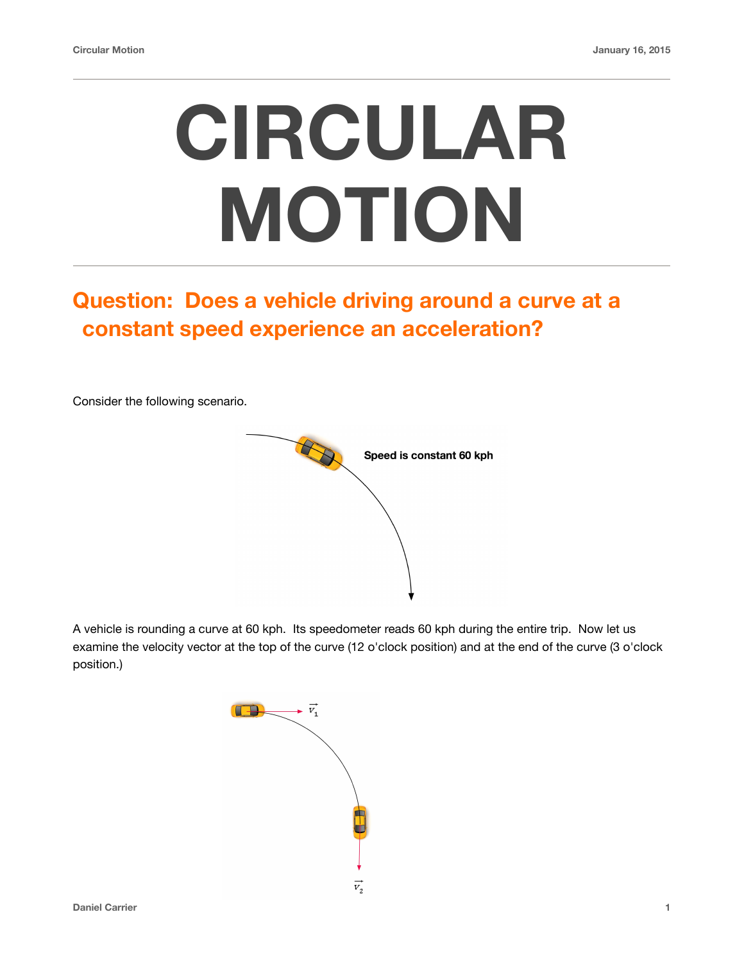## **CIRCULAR MOTION**

## **Question: Does a vehicle driving around a curve at a constant speed experience an acceleration?**

Consider the following scenario.



A vehicle is rounding a curve at 60 kph. Its speedometer reads 60 kph during the entire trip. Now let us examine the velocity vector at the top of the curve (12 o'clock position) and at the end of the curve (3 o'clock position.)